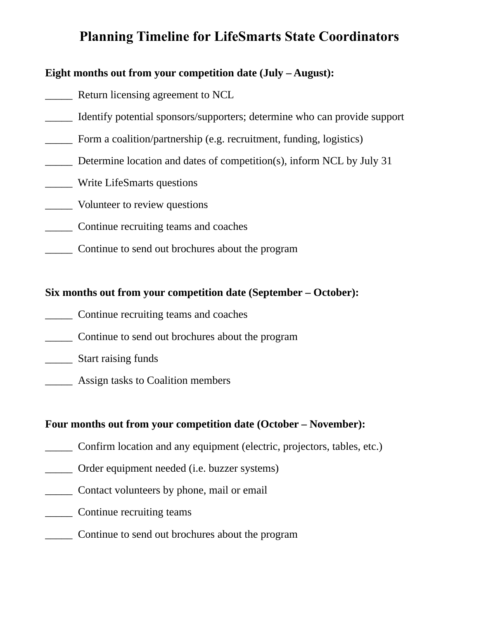# **Planning Timeline for LifeSmarts State Coordinators**

#### **Eight months out from your competition date (July – August):**

- Return licensing agreement to NCL
- \_\_\_\_\_ Identify potential sponsors/supporters; determine who can provide support
- Form a coalition/partnership (e.g. recruitment, funding, logistics)
- Determine location and dates of competition(s), inform NCL by July 31
- \_\_\_\_\_ Write LifeSmarts questions
- \_\_\_\_\_ Volunteer to review questions
- \_\_\_\_\_ Continue recruiting teams and coaches
- \_\_\_\_\_ Continue to send out brochures about the program

### **Six months out from your competition date (September – October):**

- \_\_\_\_\_ Continue recruiting teams and coaches
- \_\_\_\_\_ Continue to send out brochures about the program
- \_\_\_\_\_ Start raising funds
- \_\_\_\_\_ Assign tasks to Coalition members

### **Four months out from your competition date (October – November):**

- \_\_\_\_\_ Confirm location and any equipment (electric, projectors, tables, etc.)
- \_\_\_\_\_ Order equipment needed (i.e. buzzer systems)
- \_\_\_\_\_ Contact volunteers by phone, mail or email
- \_\_\_\_\_ Continue recruiting teams
- \_\_\_\_\_ Continue to send out brochures about the program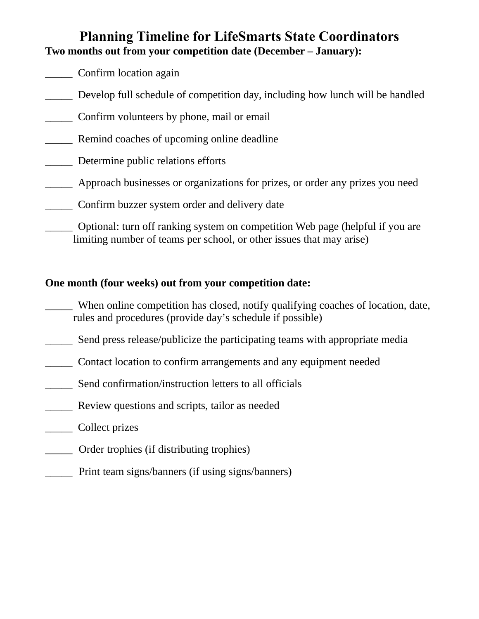# **Planning Timeline for LifeSmarts State Coordinators Two months out from your competition date (December – January):**

- \_\_\_\_\_ Confirm location again
- Develop full schedule of competition day, including how lunch will be handled
- \_\_\_\_\_ Confirm volunteers by phone, mail or email
- Remind coaches of upcoming online deadline
- \_\_\_\_\_ Determine public relations efforts
- \_\_\_\_\_ Approach businesses or organizations for prizes, or order any prizes you need
- \_\_\_\_\_ Confirm buzzer system order and delivery date
	- \_\_\_\_\_ Optional: turn off ranking system on competition Web page (helpful if you are limiting number of teams per school, or other issues that may arise)

## **One month (four weeks) out from your competition date:**

\_\_\_\_\_ When online competition has closed, notify qualifying coaches of location, date, rules and procedures (provide day's schedule if possible)

- **EXECUTE:** Send press release/publicize the participating teams with appropriate media
- \_\_\_\_\_ Contact location to confirm arrangements and any equipment needed
- **EXECUTE:** Send confirmation/instruction letters to all officials
- \_\_\_\_\_ Review questions and scripts, tailor as needed
- \_\_\_\_\_ Collect prizes
- \_\_\_\_\_ Order trophies (if distributing trophies)
- Print team signs/banners (if using signs/banners)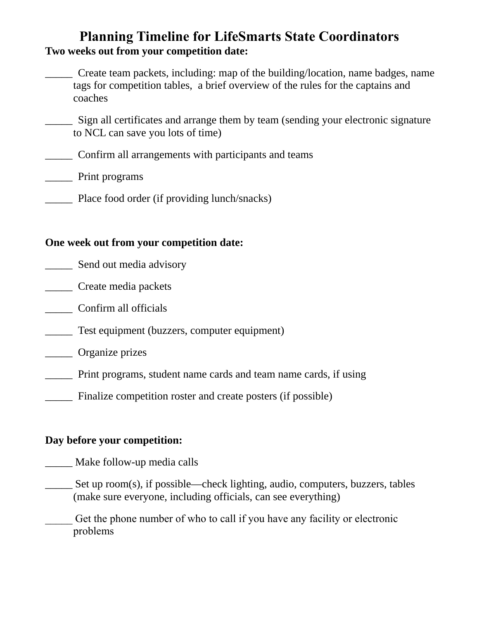# **Planning Timeline for LifeSmarts State Coordinators Two weeks out from your competition date:**

\_\_\_\_\_ Create team packets, including: map of the building/location, name badges, name tags for competition tables, a brief overview of the rules for the captains and coaches

Sign all certificates and arrange them by team (sending your electronic signature to NCL can save you lots of time)

\_\_\_\_\_ Confirm all arrangements with participants and teams

\_\_\_\_\_ Print programs

Place food order (if providing lunch/snacks)

### **One week out from your competition date:**

- **Send out media advisory**
- \_\_\_\_\_ Create media packets
- \_\_\_\_\_ Confirm all officials
- \_\_\_\_\_ Test equipment (buzzers, computer equipment)
- \_\_\_\_\_ Organize prizes
- \_\_\_\_\_ Print programs, student name cards and team name cards, if using
- Finalize competition roster and create posters (if possible)

## **Day before your competition:**

- Make follow-up media calls
- \_\_\_\_\_ Set up room(s), if possible—check lighting, audio, computers, buzzers, tables (make sure everyone, including officials, can see everything)
	- \_\_\_\_\_ Get the phone number of who to call if you have any facility or electronic problems